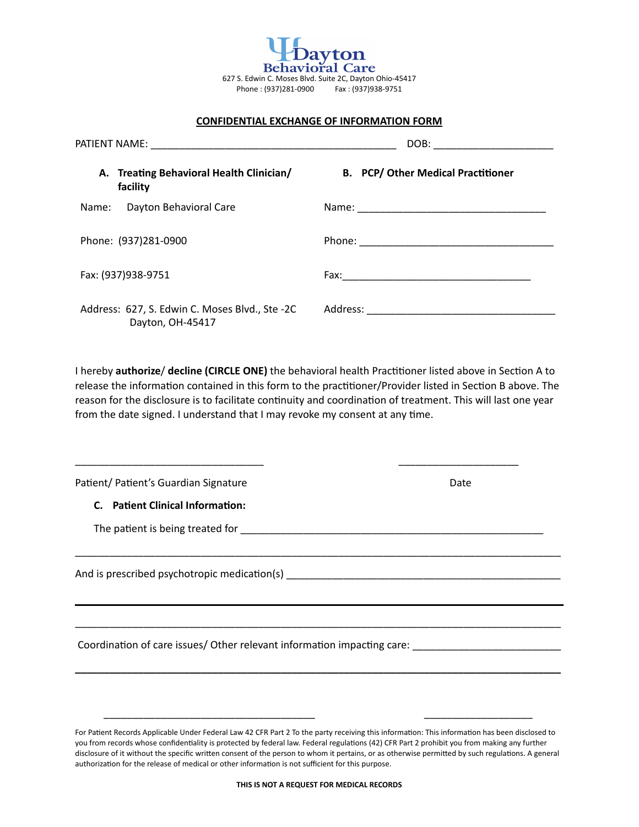| Benavioral Care<br>627 S. Edwin C. Moses Blvd. Suite 2C, Dayton Ohio-45417<br>Phone: (937)281-0900 Fax: (937)938-9751 |                                                                    |                                           |
|-----------------------------------------------------------------------------------------------------------------------|--------------------------------------------------------------------|-------------------------------------------|
| <b>CONFIDENTIAL EXCHANGE OF INFORMATION FORM</b>                                                                      |                                                                    |                                           |
|                                                                                                                       |                                                                    | DOB: _________________________            |
|                                                                                                                       | A. Treating Behavioral Health Clinician/<br>facility               | <b>B.</b> PCP/ Other Medical Practitioner |
| Name:                                                                                                                 | Dayton Behavioral Care                                             |                                           |
|                                                                                                                       | Phone: (937)281-0900                                               |                                           |
|                                                                                                                       | Fax: (937)938-9751                                                 |                                           |
|                                                                                                                       | Address: 627, S. Edwin C. Moses Blvd., Ste -2C<br>Dayton, OH-45417 |                                           |

I hereby **authorize/ decline (CIRCLE ONE)** the behavioral health Practitioner listed above in Section A to release the information contained in this form to the practitioner/Provider listed in Section B above. The reason for the disclosure is to facilitate continuity and coordination of treatment. This will last one year from the date signed. I understand that I may revoke my consent at any time.

\_\_\_\_\_\_\_\_\_\_\_\_\_\_\_\_\_\_\_\_\_\_\_\_\_\_\_\_\_\_\_\_\_\_\_\_\_\_\_\_\_\_\_\_\_\_\_\_\_\_\_\_\_\_\_\_\_\_\_\_\_\_\_\_\_\_\_\_\_\_\_\_\_\_\_\_\_\_\_\_\_\_\_\_\_

\_\_\_\_\_\_\_\_\_\_\_\_\_\_\_\_\_\_\_\_\_\_\_\_\_\_\_\_\_\_\_\_\_\_\_\_\_\_\_\_\_\_\_\_\_\_\_\_\_\_\_\_\_\_\_\_\_\_\_\_\_\_\_\_\_\_\_\_\_\_\_\_\_\_\_\_\_\_\_\_\_\_\_\_\_

**\_\_\_\_\_\_\_\_\_\_\_\_\_\_\_\_\_\_\_\_\_\_\_\_\_\_\_\_\_\_\_\_\_\_\_\_\_\_\_\_\_\_\_\_\_\_\_\_\_\_\_\_\_\_\_\_\_\_\_\_\_\_\_\_\_\_\_\_\_\_\_\_\_\_\_\_\_\_\_\_\_\_\_\_\_** 

\_\_\_\_\_\_\_\_\_\_\_\_\_\_\_\_\_\_\_\_\_\_\_\_\_\_\_\_\_\_\_\_\_ \_\_\_\_\_\_\_\_\_\_\_\_\_\_\_\_\_\_\_\_\_

Patient/ Patient's Guardian Signature Date Date

**C.** Patient Clinical Information:

The paSent is being treated for \_\_\_\_\_\_\_\_\_\_\_\_\_\_\_\_\_\_\_\_\_\_\_\_\_\_\_\_\_\_\_\_\_\_\_\_\_\_\_\_\_\_\_\_\_\_\_\_\_\_\_\_\_

And is prescribed psychotropic medicaSon(s) \_\_\_\_\_\_\_\_\_\_\_\_\_\_\_\_\_\_\_\_\_\_\_\_\_\_\_\_\_\_\_\_\_\_\_\_\_\_\_\_\_\_\_\_\_\_\_\_

Coordination of care issues/ Other relevant information impacting care:

\_\_\_\_\_\_\_\_\_\_\_\_\_\_\_\_\_\_\_\_\_\_\_\_\_\_\_\_\_\_\_\_\_\_\_\_\_ \_\_\_\_\_\_\_\_\_\_\_\_\_\_\_\_\_\_\_

For Patient Records Applicable Under Federal Law 42 CFR Part 2 To the party receiving this information: This information has been disclosed to you from records whose confidentiality is protected by federal law. Federal regulations (42) CFR Part 2 prohibit you from making any further disclosure of it without the specific written consent of the person to whom it pertains, or as otherwise permitted by such regulations. A general authorization for the release of medical or other information is not sufficient for this purpose.